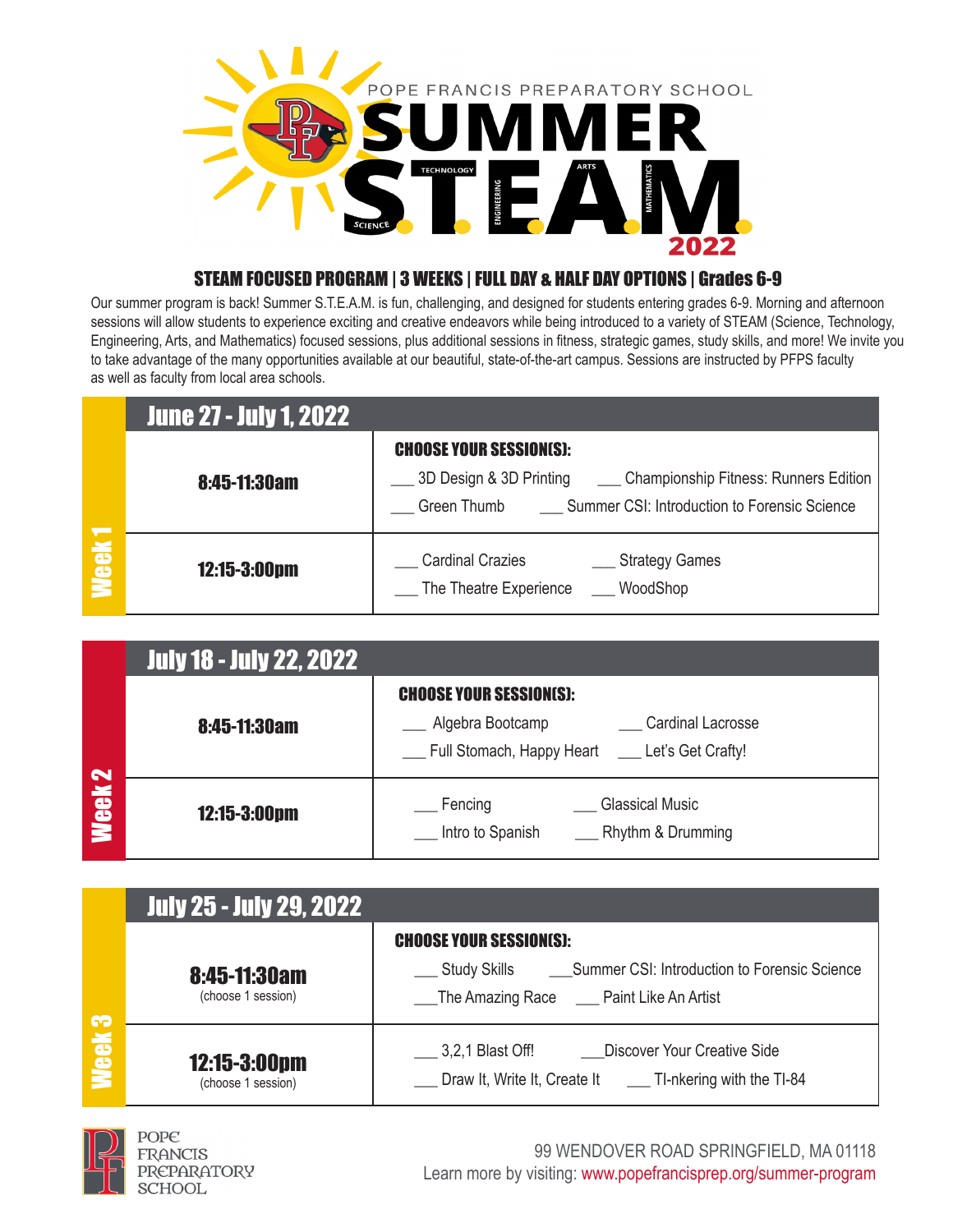

### STEAM FOCUSED PROGRAM | 3 WEEKS | FULL DAY & HALF DAY OPTIONS | Grades 6-9

Our summer program is back! Summer S.T.E.A.M. is fun, challenging, and designed for students entering grades 6-9. Morning and afternoon sessions will allow students to experience exciting and creative endeavors while being introduced to a variety of STEAM (Science, Technology, Engineering, Arts, and Mathematics) focused sessions, plus additional sessions in fitness, strategic games, study skills, and more! We invite you to take advantage of the many opportunities available at our beautiful, state-of-the-art campus. Sessions are instructed by PFPS faculty as well as faculty from local area schools.

|       | <b>June 27 - July 1, 2022</b> |                                                                                                                                                                                   |
|-------|-------------------------------|-----------------------------------------------------------------------------------------------------------------------------------------------------------------------------------|
|       | 8:45-11:30am                  | <b>CHOOSE YOUR SESSION(S):</b><br>5 3D Design & 3D Printing<br>Championship Fitness: Runners Edition<br><b>Summer CSI: Introduction to Forensic Science</b><br><b>Green Thumb</b> |
| Week1 | 12:15-3:00pm                  | <b>Cardinal Crazies</b><br>__ Strategy Games<br>The Theatre Experience WoodShop                                                                                                   |

|                   | <b>July 18 - July 22, 2022</b> |                                                                                                                                     |
|-------------------|--------------------------------|-------------------------------------------------------------------------------------------------------------------------------------|
|                   | 8:45-11:30am                   | <b>CHOOSE YOUR SESSION(S):</b><br>Algebra Bootcamp<br><b>Cardinal Lacrosse</b><br>__ Full Stomach, Happy Heart __ Let's Get Crafty! |
| Week <sub>2</sub> | 12:15-3:00pm                   | <b>Glassical Music</b><br>Fencing<br>Rhythm & Drumming<br>Intro to Spanish                                                          |

|                  | <b>July 25 - July 29, 2022</b>     |                                                                                                                   |
|------------------|------------------------------------|-------------------------------------------------------------------------------------------------------------------|
| S<br><b>Meek</b> |                                    | <b>CHOOSE YOUR SESSION(S):</b>                                                                                    |
|                  | 8:45-11:30am<br>(choose 1 session) | Study Skills ________ Summer CSI: Introduction to Forensic Science<br>The Amazing Race _____ Paint Like An Artist |
|                  | 12:15-3:00pm<br>(choose 1 session) | 3,2,1 Blast Off!<br>Discover Your Creative Side<br>Draw It, Write It, Create It ______ TI-nkering with the TI-84  |



POPE FRANCIS **PREPARATORY SCHOOL** 

99 WENDOVER ROAD SPRINGFIELD, MA 01118 Learn more by visiting: www.popefrancisprep.org/summer-program